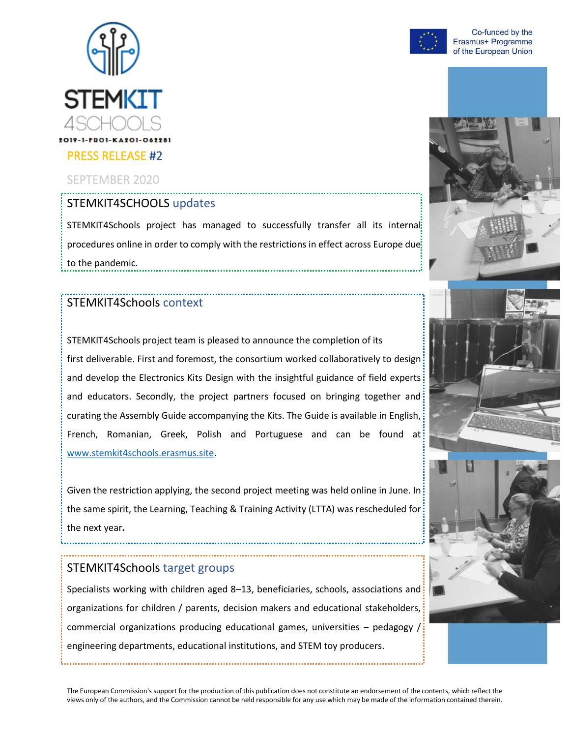

### SEPTEMBER 2020

# STEMKIT4SCHOOLS updates

STEMKIT4Schools project has managed to successfully transfer all its internal procedures online in order to comply with the restrictions in effect across Europe due to the pandemic. 

### STEMKIT4Schools context

STEMKIT4Schools project team is pleased to announce the completion of its first deliverable. First and foremost, the consortium worked collaboratively to design and develop the Electronics Kits Design with the insightful guidance of field experts: and educators. Secondly, the project partners focused on bringing together and curating the Assembly Guide accompanying the Kits. The Guide is available in English, French, Romanian, Greek, Polish and Portuguese and can be found at [www.stemkit4schools.erasmus.site.](http://www.stemkit4schools.erasmus.site/)

Given the restriction applying, the second project meeting was held online in June. In: the same spirit, the Learning, Teaching & Training Activity (LTTA) was rescheduled for the next year**.**

#### STEMKIT4Schools target groups

Specialists working with children aged 8–13, beneficiaries, schools, associations and: organizations for children / parents, decision makers and educational stakeholders, commercial organizations producing educational games, universities – pedagogy  $\frac{1}{2}$ engineering departments, educational institutions, and STEM toy producers.

Co-funded by the Erasmus+ Programme of the European Union